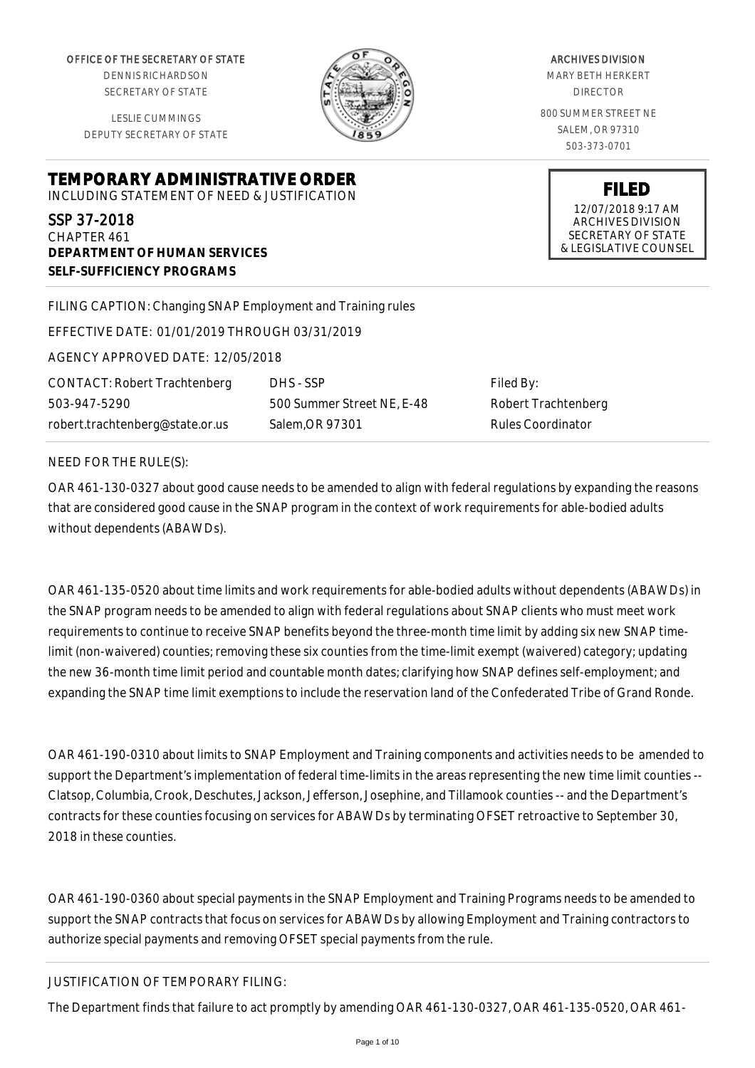OFFICE OF THE SECRETARY OF STATE

DENNIS RICHARDSON SECRETARY OF STATE

LESLIE CUMMINGS DEPUTY SECRETARY OF STATE

**DEPARTMENT OF HUMAN SERVICES**

**SELF-SUFFICIENCY PROGRAMS**



ARCHIVES DIVISION MARY BETH HERKERT DIRECTOR 800 SUMMER STREET NE

SALEM, OR 97310 503-373-0701

**FILED** 12/07/2018 9:17 AM ARCHIVES DIVISION SECRETARY OF STATE & LEGISLATIVE COUNSEL

FILING CAPTION: Changing SNAP Employment and Training rules

EFFECTIVE DATE: 01/01/2019 THROUGH 03/31/2019

**TEMPORARY ADMINISTRATIVE ORDER** INCLUDING STATEMENT OF NEED & JUSTIFICATION

AGENCY APPROVED DATE: 12/05/2018

CONTACT: Robert Trachtenberg 503-947-5290 robert.trachtenberg@state.or.us

DHS - SSP 500 Summer Street NE, E-48 Salem,OR 97301

Filed By: Robert Trachtenberg Rules Coordinator

#### NEED FOR THE RULE(S):

SSP 37-2018 CHAPTER 461

OAR 461-130-0327 about good cause needs to be amended to align with federal regulations by expanding the reasons that are considered good cause in the SNAP program in the context of work requirements for able-bodied adults without dependents (ABAWDs).

OAR 461-135-0520 about time limits and work requirements for able-bodied adults without dependents (ABAWDs) in the SNAP program needs to be amended to align with federal regulations about SNAP clients who must meet work requirements to continue to receive SNAP benefits beyond the three-month time limit by adding six new SNAP timelimit (non-waivered) counties; removing these six counties from the time-limit exempt (waivered) category; updating the new 36-month time limit period and countable month dates; clarifying how SNAP defines self-employment; and expanding the SNAP time limit exemptions to include the reservation land of the Confederated Tribe of Grand Ronde.

OAR 461-190-0310 about limits to SNAP Employment and Training components and activities needs to be amended to support the Department's implementation of federal time-limits in the areas representing the new time limit counties -- Clatsop, Columbia, Crook, Deschutes, Jackson, Jefferson, Josephine, and Tillamook counties -- and the Department's contracts for these counties focusing on services for ABAWDs by terminating OFSET retroactive to September 30, 2018 in these counties.

OAR 461-190-0360 about special payments in the SNAP Employment and Training Programs needs to be amended to support the SNAP contracts that focus on services for ABAWDs by allowing Employment and Training contractors to authorize special payments and removing OFSET special payments from the rule.

# JUSTIFICATION OF TEMPORARY FILING:

The Department finds that failure to act promptly by amending OAR 461-130-0327, OAR 461-135-0520, OAR 461-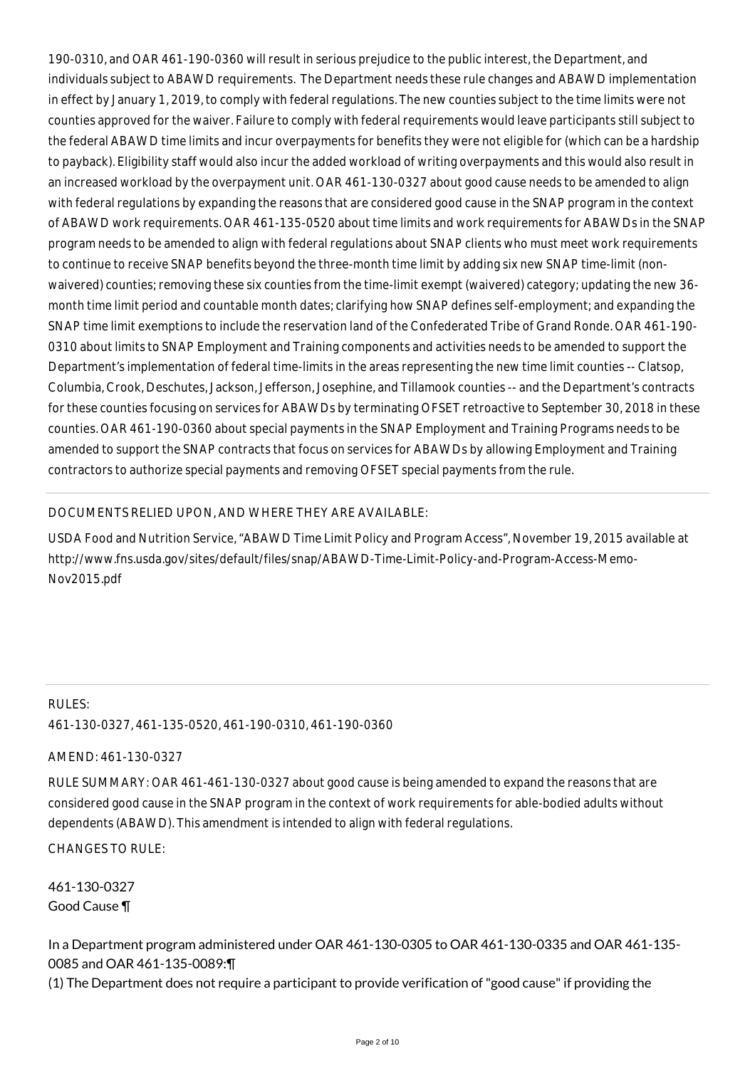190-0310, and OAR 461-190-0360 will result in serious prejudice to the public interest, the Department, and individuals subject to ABAWD requirements. The Department needs these rule changes and ABAWD implementation in effect by January 1, 2019, to comply with federal regulations. The new counties subject to the time limits were not counties approved for the waiver. Failure to comply with federal requirements would leave participants still subject to the federal ABAWD time limits and incur overpayments for benefits they were not eligible for (which can be a hardship to payback). Eligibility staff would also incur the added workload of writing overpayments and this would also result in an increased workload by the overpayment unit. OAR 461-130-0327 about good cause needs to be amended to align with federal regulations by expanding the reasons that are considered good cause in the SNAP program in the context of ABAWD work requirements. OAR 461-135-0520 about time limits and work requirements for ABAWDs in the SNAP program needs to be amended to align with federal regulations about SNAP clients who must meet work requirements to continue to receive SNAP benefits beyond the three-month time limit by adding six new SNAP time-limit (nonwaivered) counties; removing these six counties from the time-limit exempt (waivered) category; updating the new 36month time limit period and countable month dates; clarifying how SNAP defines self-employment; and expanding the SNAP time limit exemptions to include the reservation land of the Confederated Tribe of Grand Ronde. OAR 461-190- 0310 about limits to SNAP Employment and Training components and activities needs to be amended to support the Department's implementation of federal time-limits in the areas representing the new time limit counties -- Clatsop, Columbia, Crook, Deschutes, Jackson, Jefferson, Josephine, and Tillamook counties -- and the Department's contracts for these counties focusing on services for ABAWDs by terminating OFSET retroactive to September 30, 2018 in these counties. OAR 461-190-0360 about special payments in the SNAP Employment and Training Programs needs to be amended to support the SNAP contracts that focus on services for ABAWDs by allowing Employment and Training contractors to authorize special payments and removing OFSET special payments from the rule.

# DOCUMENTS RELIED UPON, AND WHERE THEY ARE AVAILABLE:

USDA Food and Nutrition Service, "ABAWD Time Limit Policy and Program Access", November 19, 2015 available at http://www.fns.usda.gov/sites/default/files/snap/ABAWD-Time-Limit-Policy-and-Program-Access-Memo-Nov2015.pdf

# RULES: 461-130-0327, 461-135-0520, 461-190-0310, 461-190-0360

AMEND: 461-130-0327

RULE SUMMARY: OAR 461-461-130-0327 about good cause is being amended to expand the reasons that are considered good cause in the SNAP program in the context of work requirements for able-bodied adults without dependents (ABAWD). This amendment is intended to align with federal regulations.

CHANGES TO RULE:

461-130-0327 Good Cause ¶

In a Department program administered under OAR 461-130-0305 to OAR 461-130-0335 and OAR 461-135- 0085 and OAR 461-135-0089:¶

(1) The Department does not require a participant to provide verification of "good cause" if providing the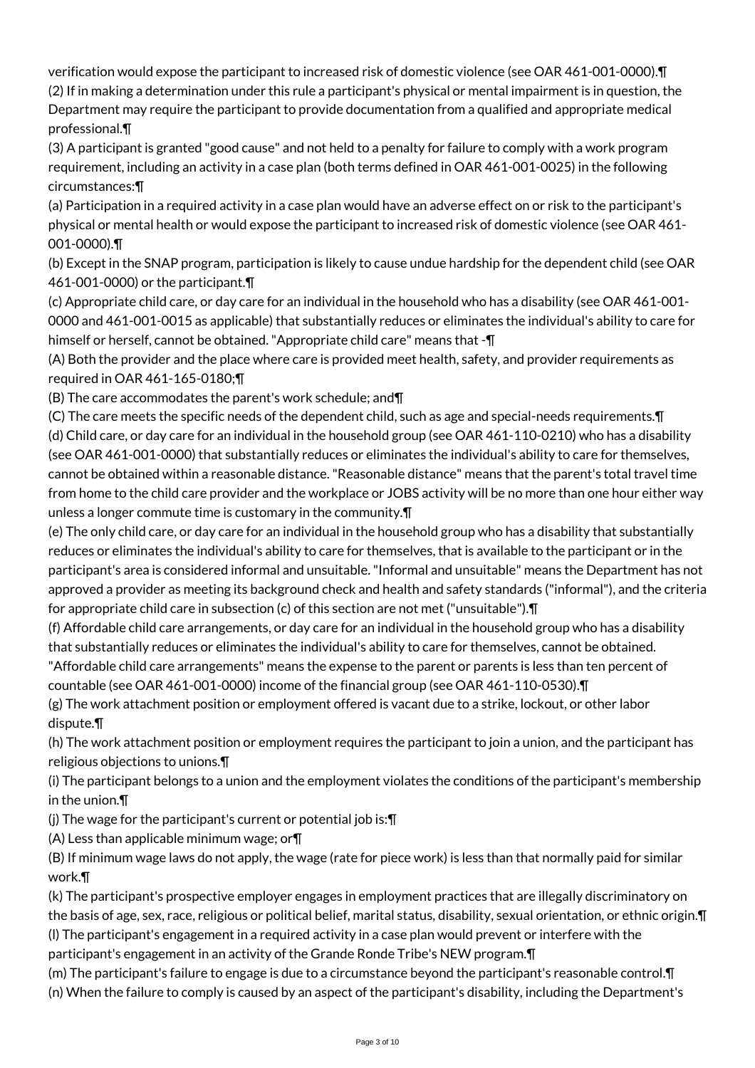verification would expose the participant to increased risk of domestic violence (see OAR 461-001-0000).¶ (2) If in making a determination under this rule a participant's physical or mental impairment is in question, the

Department may require the participant to provide documentation from a qualified and appropriate medical professional.¶

(3) A participant is granted "good cause" and not held to a penalty for failure to comply with a work program requirement, including an activity in a case plan (both terms defined in OAR 461-001-0025) in the following circumstances:¶

(a) Participation in a required activity in a case plan would have an adverse effect on or risk to the participant's physical or mental health or would expose the participant to increased risk of domestic violence (see OAR 461- 001-0000).¶

(b) Except in the SNAP program, participation is likely to cause undue hardship for the dependent child (see OAR 461-001-0000) or the participant.¶

(c) Appropriate child care, or day care for an individual in the household who has a disability (see OAR 461-001- 0000 and 461-001-0015 as applicable) that substantially reduces or eliminates the individual's ability to care for himself or herself, cannot be obtained. "Appropriate child care" means that -¶

(A) Both the provider and the place where care is provided meet health, safety, and provider requirements as required in OAR 461-165-0180;¶

(B) The care accommodates the parent's work schedule; and¶

(C) The care meets the specific needs of the dependent child, such as age and special-needs requirements.¶ (d) Child care, or day care for an individual in the household group (see OAR 461-110-0210) who has a disability (see OAR 461-001-0000) that substantially reduces or eliminates the individual's ability to care for themselves, cannot be obtained within a reasonable distance. "Reasonable distance" means that the parent's total travel time from home to the child care provider and the workplace or JOBS activity will be no more than one hour either way unless a longer commute time is customary in the community.¶

(e) The only child care, or day care for an individual in the household group who has a disability that substantially reduces or eliminates the individual's ability to care for themselves, that is available to the participant or in the participant's area is considered informal and unsuitable. "Informal and unsuitable" means the Department has not approved a provider as meeting its background check and health and safety standards ("informal"), and the criteria for appropriate child care in subsection (c) of this section are not met ("unsuitable").¶

(f) Affordable child care arrangements, or day care for an individual in the household group who has a disability that substantially reduces or eliminates the individual's ability to care for themselves, cannot be obtained.

"Affordable child care arrangements" means the expense to the parent or parents is less than ten percent of countable (see OAR 461-001-0000) income of the financial group (see OAR 461-110-0530).¶

(g) The work attachment position or employment offered is vacant due to a strike, lockout, or other labor dispute.¶

(h) The work attachment position or employment requires the participant to join a union, and the participant has religious objections to unions.¶

(i) The participant belongs to a union and the employment violates the conditions of the participant's membership in the union.¶

(j) The wage for the participant's current or potential job is:¶

(A) Less than applicable minimum wage; or¶

(B) If minimum wage laws do not apply, the wage (rate for piece work) is less than that normally paid for similar work.¶

(k) The participant's prospective employer engages in employment practices that are illegally discriminatory on the basis of age, sex, race, religious or political belief, marital status, disability, sexual orientation, or ethnic origin.¶ (l) The participant's engagement in a required activity in a case plan would prevent or interfere with the

participant's engagement in an activity of the Grande Ronde Tribe's NEW program.¶

(m) The participant's failure to engage is due to a circumstance beyond the participant's reasonable control.¶

(n) When the failure to comply is caused by an aspect of the participant's disability, including the Department's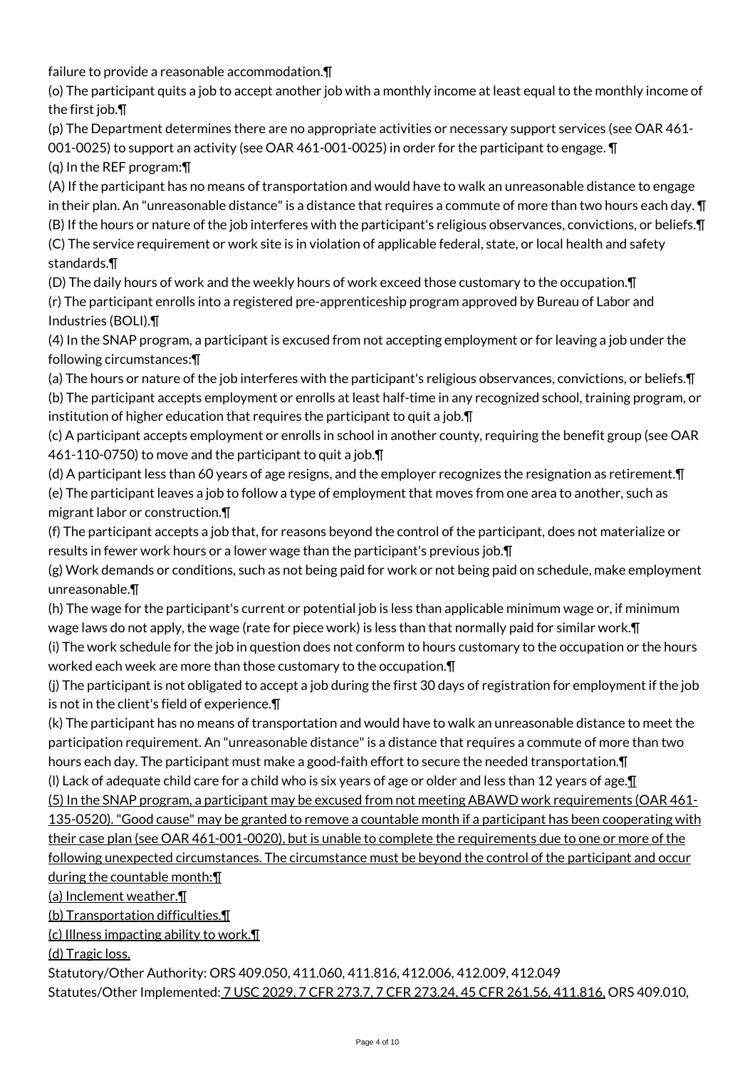failure to provide a reasonable accommodation.¶

(o) The participant quits a job to accept another job with a monthly income at least equal to the monthly income of the first job.¶

(p) The Department determines there are no appropriate activities or necessary support services (see OAR 461- 001-0025) to support an activity (see OAR 461-001-0025) in order for the participant to engage. ¶

(q) In the REF program:¶

(A) If the participant has no means of transportation and would have to walk an unreasonable distance to engage in their plan. An "unreasonable distance" is a distance that requires a commute of more than two hours each day. ¶ (B) If the hours or nature of the job interferes with the participant's religious observances, convictions, or beliefs.¶ (C) The service requirement or work site is in violation of applicable federal, state, or local health and safety standards.¶

(D) The daily hours of work and the weekly hours of work exceed those customary to the occupation.¶ (r) The participant enrolls into a registered pre-apprenticeship program approved by Bureau of Labor and Industries (BOLI).¶

(4) In the SNAP program, a participant is excused from not accepting employment or for leaving a job under the following circumstances:¶

(a) The hours or nature of the job interferes with the participant's religious observances, convictions, or beliefs.¶ (b) The participant accepts employment or enrolls at least half-time in any recognized school, training program, or institution of higher education that requires the participant to quit a job.¶

(c) A participant accepts employment or enrolls in school in another county, requiring the benefit group (see OAR 461-110-0750) to move and the participant to quit a job.¶

(d) A participant less than 60 years of age resigns, and the employer recognizes the resignation as retirement.¶ (e) The participant leaves a job to follow a type of employment that moves from one area to another, such as migrant labor or construction.¶

(f) The participant accepts a job that, for reasons beyond the control of the participant, does not materialize or results in fewer work hours or a lower wage than the participant's previous job.¶

(g) Work demands or conditions, such as not being paid for work or not being paid on schedule, make employment unreasonable.¶

(h) The wage for the participant's current or potential job is less than applicable minimum wage or, if minimum wage laws do not apply, the wage (rate for piece work) is less than that normally paid for similar work.¶ (i) The work schedule for the job in question does not conform to hours customary to the occupation or the hours

worked each week are more than those customary to the occupation.¶

(j) The participant is not obligated to accept a job during the first 30 days of registration for employment if the job is not in the client's field of experience.¶

(k) The participant has no means of transportation and would have to walk an unreasonable distance to meet the participation requirement. An "unreasonable distance" is a distance that requires a commute of more than two hours each day. The participant must make a good-faith effort to secure the needed transportation.¶

(I) Lack of adequate child care for a child who is six years of age or older and less than 12 years of age. $\Pi$ (5) In the SNAP program, a participant may be excused from not meeting ABAWD work requirements (OAR 461-

135-0520). "Good cause" may be granted to remove a countable month if a participant has been cooperating with their case plan (see OAR 461-001-0020), but is unable to complete the requirements due to one or more of the following unexpected circumstances. The circumstance must be beyond the control of the participant and occur during the countable month:¶

(a) Inclement weather.¶

(b) Transportation difficulties.¶

(c) Illness impacting ability to work.¶

(d) Tragic loss.

Statutory/Other Authority: ORS 409.050, 411.060, 411.816, 412.006, 412.009, 412.049

Statutes/Other Implemented: 7 USC 2029, 7 CFR 273.7, 7 CFR 273.24, 45 CFR 261.56, 411.816, ORS 409.010,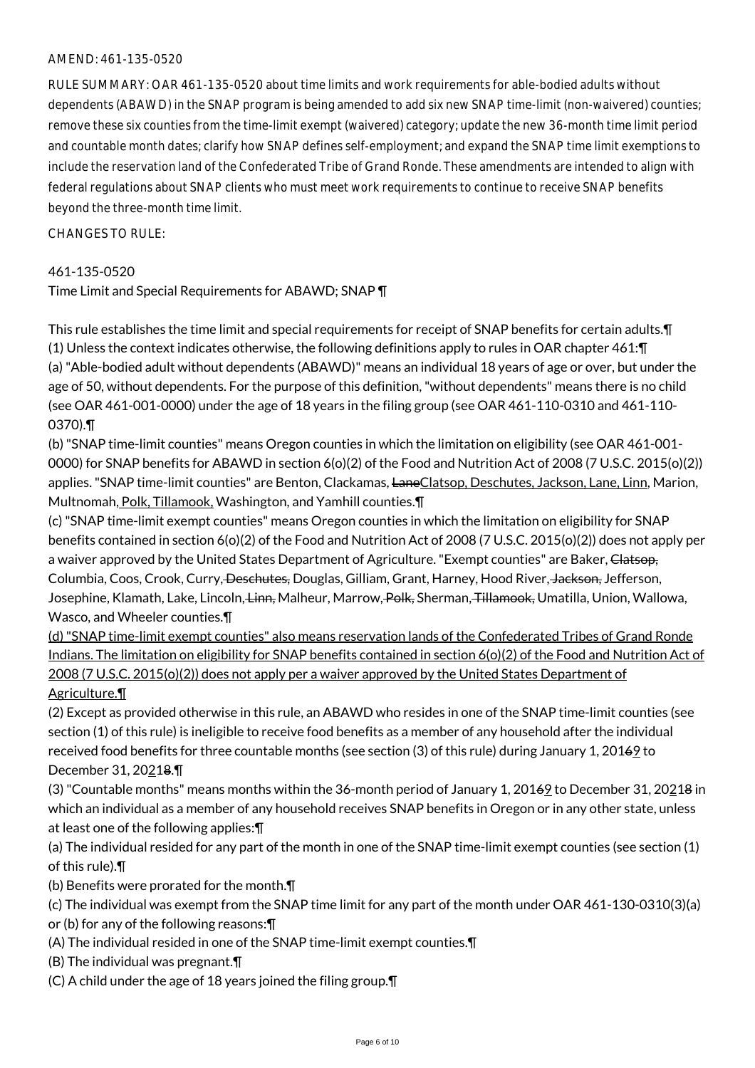#### AMEND: 461-135-0520

RULE SUMMARY: OAR 461-135-0520 about time limits and work requirements for able-bodied adults without dependents (ABAWD) in the SNAP program is being amended to add six new SNAP time-limit (non-waivered) counties; remove these six counties from the time-limit exempt (waivered) category; update the new 36-month time limit period and countable month dates; clarify how SNAP defines self-employment; and expand the SNAP time limit exemptions to include the reservation land of the Confederated Tribe of Grand Ronde. These amendments are intended to align with federal regulations about SNAP clients who must meet work requirements to continue to receive SNAP benefits beyond the three-month time limit.

#### $CHANGFS TO RIIF$

#### 461-135-0520

Time Limit and Special Requirements for ABAWD; SNAP ¶

This rule establishes the time limit and special requirements for receipt of SNAP benefits for certain adults.¶ (1) Unless the context indicates otherwise, the following definitions apply to rules in OAR chapter 461:¶ (a) "Able-bodied adult without dependents (ABAWD)" means an individual 18 years of age or over, but under the age of 50, without dependents. For the purpose of this definition, "without dependents" means there is no child (see OAR 461-001-0000) under the age of 18 years in the filing group (see OAR 461-110-0310 and 461-110- 0370).¶

(b) "SNAP time-limit counties" means Oregon counties in which the limitation on eligibility (see OAR 461-001- 0000) for SNAP benefits for ABAWD in section 6(o)(2) of the Food and Nutrition Act of 2008 (7 U.S.C. 2015(o)(2)) applies. "SNAP time-limit counties" are Benton, Clackamas, LaneClatsop, Deschutes, Jackson, Lane, Linn, Marion, Multnomah, Polk, Tillamook, Washington, and Yamhill counties.¶

(c) "SNAP time-limit exempt counties" means Oregon counties in which the limitation on eligibility for SNAP benefits contained in section 6(o)(2) of the Food and Nutrition Act of 2008 (7 U.S.C. 2015(o)(2)) does not apply per a waiver approved by the United States Department of Agriculture. "Exempt counties" are Baker, Clatsop, Columbia, Coos, Crook, Curry, <del>Deschutes,</del> Douglas, Gilliam, Grant, Harney, Hood River, Jackson, Jefferson, Josephine, Klamath, Lake, Lincoln, <del>Linn,</del> Malheur, Marrow, <del>Polk,</del> Sherman, Tillamook, Umatilla, Union, Wallowa, Wasco, and Wheeler counties.¶

(d) "SNAP time-limit exempt counties" also means reservation lands of the Confederated Tribes of Grand Ronde Indians. The limitation on eligibility for SNAP benefits contained in section 6(o)(2) of the Food and Nutrition Act of 2008 (7 U.S.C. 2015(o)(2)) does not apply per a waiver approved by the United States Department of Agriculture.¶

(2) Except as provided otherwise in this rule, an ABAWD who resides in one of the SNAP time-limit counties (see section (1) of this rule) is ineligible to receive food benefits as a member of any household after the individual received food benefits for three countable months (see section (3) of this rule) during January 1, 20169 to December 31, 20218.¶

(3) "Countable months" means months within the 36-month period of January 1, 20169 to December 31, 20218 in which an individual as a member of any household receives SNAP benefits in Oregon or in any other state, unless at least one of the following applies:¶

(a) The individual resided for any part of the month in one of the SNAP time-limit exempt counties (see section (1) of this rule).¶

(b) Benefits were prorated for the month.¶

(c) The individual was exempt from the SNAP time limit for any part of the month under OAR 461-130-0310(3)(a) or (b) for any of the following reasons:¶

- (A) The individual resided in one of the SNAP time-limit exempt counties.¶
- (B) The individual was pregnant.¶
- (C) A child under the age of 18 years joined the filing group.¶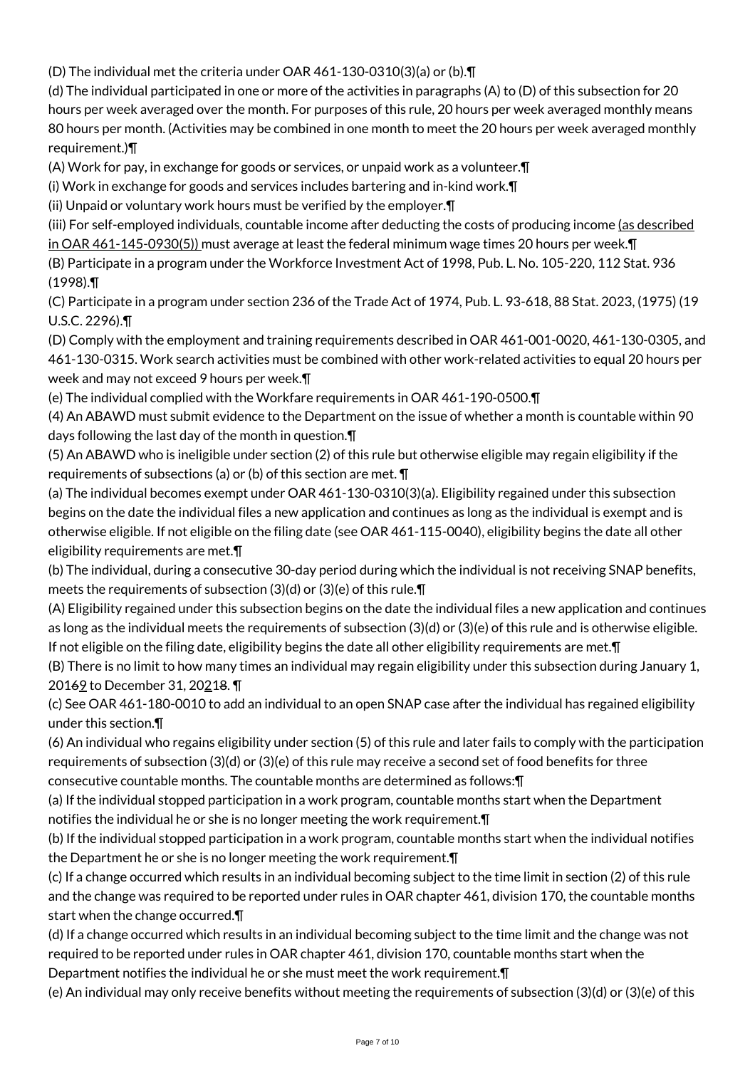(D) The individual met the criteria under OAR 461-130-0310(3)(a) or (b).¶

(d) The individual participated in one or more of the activities in paragraphs (A) to (D) of this subsection for 20 hours per week averaged over the month. For purposes of this rule, 20 hours per week averaged monthly means 80 hours per month. (Activities may be combined in one month to meet the 20 hours per week averaged monthly requirement.)¶

(A) Work for pay, in exchange for goods or services, or unpaid work as a volunteer.¶

(i) Work in exchange for goods and services includes bartering and in-kind work.¶

(ii) Unpaid or voluntary work hours must be verified by the employer.¶

(iii) For self-employed individuals, countable income after deducting the costs of producing income (as described in OAR 461-145-0930(5)) must average at least the federal minimum wage times 20 hours per week.¶

(B) Participate in a program under the Workforce Investment Act of 1998, Pub. L. No. 105-220, 112 Stat. 936 (1998).¶

(C) Participate in a program under section 236 of the Trade Act of 1974, Pub. L. 93-618, 88 Stat. 2023, (1975) (19 U.S.C. 2296).¶

(D) Comply with the employment and training requirements described in OAR 461-001-0020, 461-130-0305, and 461-130-0315. Work search activities must be combined with other work-related activities to equal 20 hours per week and may not exceed 9 hours per week.¶

(e) The individual complied with the Workfare requirements in OAR 461-190-0500.¶

(4) An ABAWD must submit evidence to the Department on the issue of whether a month is countable within 90 days following the last day of the month in question.¶

(5) An ABAWD who is ineligible under section (2) of this rule but otherwise eligible may regain eligibility if the requirements of subsections (a) or (b) of this section are met. ¶

(a) The individual becomes exempt under OAR 461-130-0310(3)(a). Eligibility regained under this subsection begins on the date the individual files a new application and continues as long as the individual is exempt and is otherwise eligible. If not eligible on the filing date (see OAR 461-115-0040), eligibility begins the date all other eligibility requirements are met.¶

(b) The individual, during a consecutive 30-day period during which the individual is not receiving SNAP benefits, meets the requirements of subsection (3)(d) or (3)(e) of this rule.¶

(A) Eligibility regained under this subsection begins on the date the individual files a new application and continues as long as the individual meets the requirements of subsection (3)(d) or (3)(e) of this rule and is otherwise eligible. If not eligible on the filing date, eligibility begins the date all other eligibility requirements are met.¶

(B) There is no limit to how many times an individual may regain eligibility under this subsection during January 1, 20169 to December 31, 20218.

(c) See OAR 461-180-0010 to add an individual to an open SNAP case after the individual has regained eligibility under this section.¶

(6) An individual who regains eligibility under section (5) of this rule and later fails to comply with the participation requirements of subsection (3)(d) or (3)(e) of this rule may receive a second set of food benefits for three consecutive countable months. The countable months are determined as follows:¶

(a) If the individual stopped participation in a work program, countable months start when the Department

notifies the individual he or she is no longer meeting the work requirement.¶

(b) If the individual stopped participation in a work program, countable months start when the individual notifies the Department he or she is no longer meeting the work requirement.¶

(c) If a change occurred which results in an individual becoming subject to the time limit in section (2) of this rule and the change was required to be reported under rules in OAR chapter 461, division 170, the countable months start when the change occurred.¶

(d) If a change occurred which results in an individual becoming subject to the time limit and the change was not required to be reported under rules in OAR chapter 461, division 170, countable months start when the Department notifies the individual he or she must meet the work requirement.¶

(e) An individual may only receive benefits without meeting the requirements of subsection (3)(d) or (3)(e) of this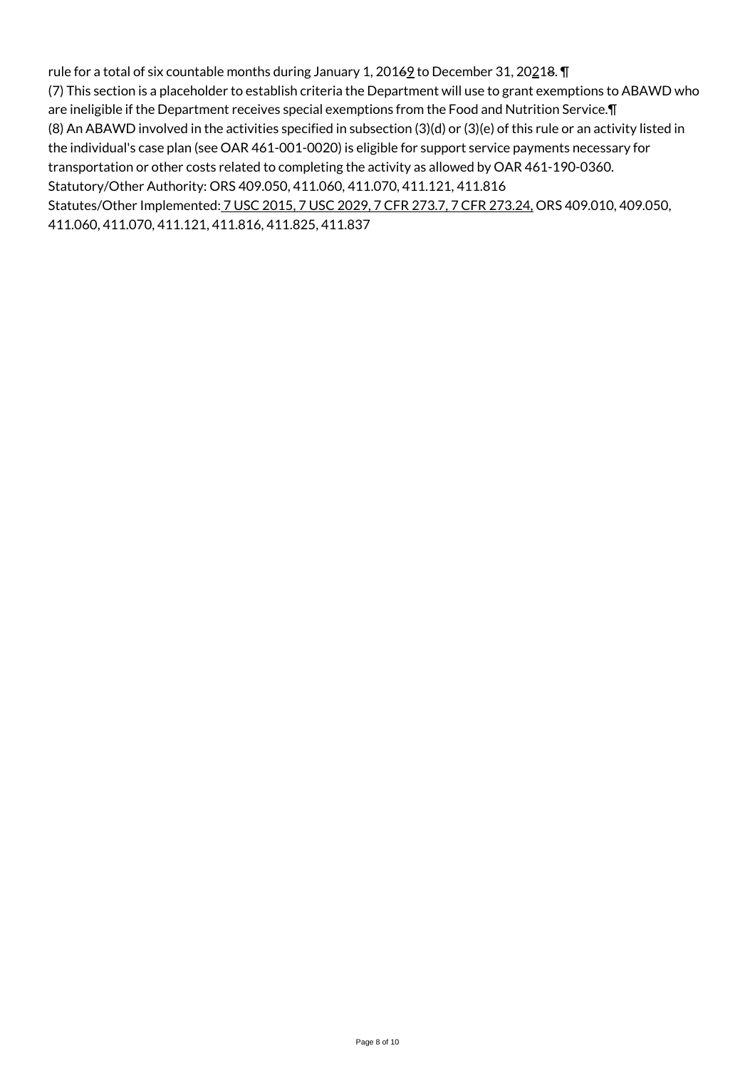rule for a total of six countable months during January 1, 2016 $9$  to December 31, 20218.  $\P$ (7) This section is a placeholder to establish criteria the Department will use to grant exemptions to ABAWD who are ineligible if the Department receives special exemptions from the Food and Nutrition Service.¶ (8) An ABAWD involved in the activities specified in subsection (3)(d) or (3)(e) of this rule or an activity listed in the individual's case plan (see OAR 461-001-0020) is eligible for support service payments necessary for transportation or other costs related to completing the activity as allowed by OAR 461-190-0360. Statutory/Other Authority: ORS 409.050, 411.060, 411.070, 411.121, 411.816 Statutes/Other Implemented: 7 USC 2015, 7 USC 2029, 7 CFR 273.7, 7 CFR 273.24, ORS 409.010, 409.050, 411.060, 411.070, 411.121, 411.816, 411.825, 411.837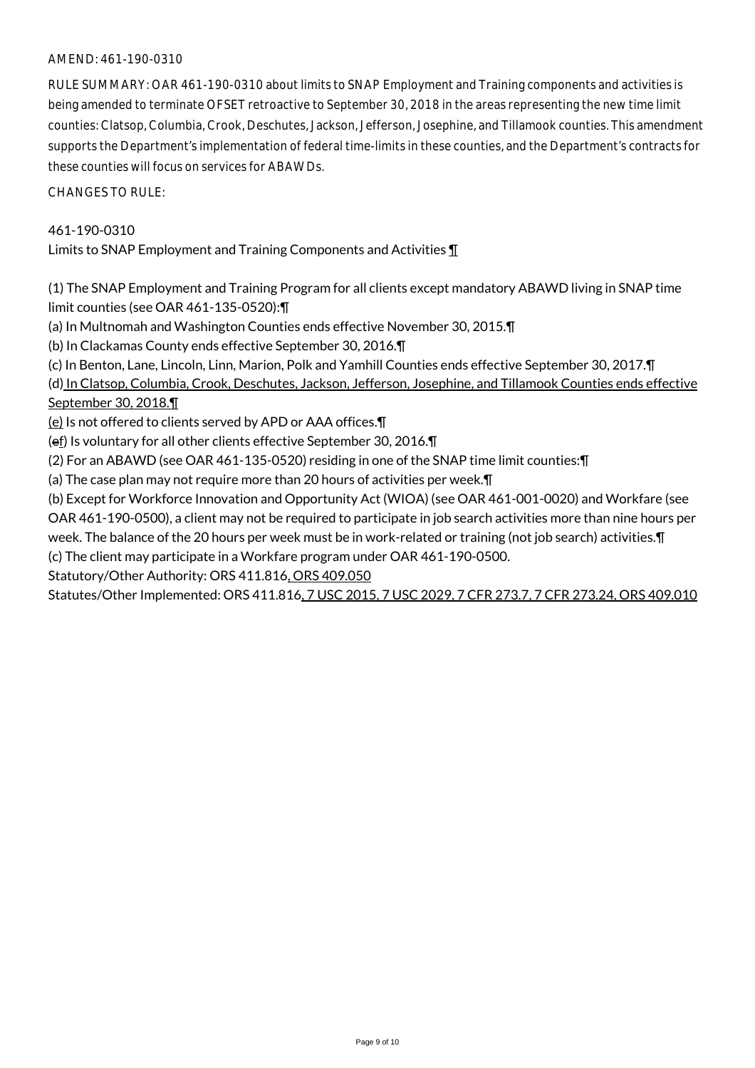## AMEND: 461-190-0310

RULE SUMMARY: OAR 461-190-0310 about limits to SNAP Employment and Training components and activities is being amended to terminate OFSET retroactive to September 30, 2018 in the areas representing the new time limit counties: Clatsop, Columbia, Crook, Deschutes, Jackson, Jefferson, Josephine, and Tillamook counties. This amendment supports the Department's implementation of federal time-limits in these counties, and the Department's contracts for these counties will focus on services for ABAWDs.

CHANGES TO RULE:

# 461-190-0310

Limits to SNAP Employment and Training Components and Activities ¶

(1) The SNAP Employment and Training Program for all clients except mandatory ABAWD living in SNAP time limit counties (see OAR 461-135-0520):¶

(a) In Multnomah and Washington Counties ends effective November 30, 2015.¶

(b) In Clackamas County ends effective September 30, 2016.¶

(c) In Benton, Lane, Lincoln, Linn, Marion, Polk and Yamhill Counties ends effective September 30, 2017.¶

(d) In Clatsop, Columbia, Crook, Deschutes, Jackson, Jefferson, Josephine, and Tillamook Counties ends effective September 30, 2018.¶

(e) Is not offered to clients served by APD or AAA offices.¶

(ef) Is voluntary for all other clients effective September 30, 2016.¶

(2) For an ABAWD (see OAR 461-135-0520) residing in one of the SNAP time limit counties:¶

(a) The case plan may not require more than 20 hours of activities per week.¶

(b) Except for Workforce Innovation and Opportunity Act (WIOA) (see OAR 461-001-0020) and Workfare (see OAR 461-190-0500), a client may not be required to participate in job search activities more than nine hours per week. The balance of the 20 hours per week must be in work-related or training (not job search) activities.¶ (c) The client may participate in a Workfare program under OAR 461-190-0500.

Statutory/Other Authority: ORS 411.816, ORS 409.050

Statutes/Other Implemented: ORS 411.816, 7 USC 2015, 7 USC 2029, 7 CFR 273.7, 7 CFR 273.24, ORS 409.010